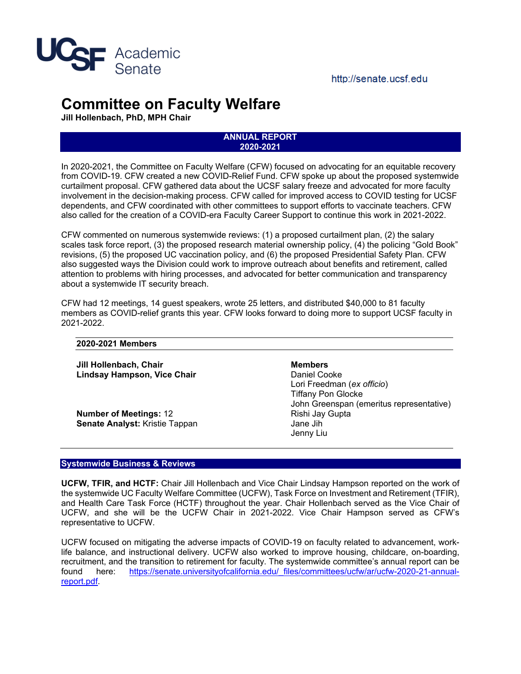

# **Committee on Faculty Welfare**

**Jill Hollenbach, PhD, MPH Chair**

#### **ANNUAL REPORT 2020-2021**

In 2020-2021, the Committee on Faculty Welfare (CFW) focused on advocating for an equitable recovery from COVID-19. CFW created a new COVID-Relief Fund. CFW spoke up about the proposed systemwide curtailment proposal. CFW gathered data about the UCSF salary freeze and advocated for more faculty involvement in the decision-making process. CFW called for improved access to COVID testing for UCSF dependents, and CFW coordinated with other committees to support efforts to vaccinate teachers. CFW also called for the creation of a COVID-era Faculty Career Support to continue this work in 2021-2022.

CFW commented on numerous systemwide reviews: (1) a proposed curtailment plan, (2) the salary scales task force report, (3) the proposed research material ownership policy, (4) the policing "Gold Book" revisions, (5) the proposed UC vaccination policy, and (6) the proposed Presidential Safety Plan. CFW also suggested ways the Division could work to improve outreach about benefits and retirement, called attention to problems with hiring processes, and advocated for better communication and transparency about a systemwide IT security breach.

CFW had 12 meetings, 14 guest speakers, wrote 25 letters, and distributed \$40,000 to 81 faculty members as COVID-relief grants this year. CFW looks forward to doing more to support UCSF faculty in 2021-2022.

## **2020-2021 Members**

**Jill Hollenbach, Chair Lindsay Hampson, Vice Chair**

**Number of Meetings:** 12 **Senate Analyst:** Kristie Tappan **Members** Daniel Cooke Lori Freedman (*ex officio*) Tiffany Pon Glocke John Greenspan (emeritus representative) Rishi Jay Gupta Jane Jih Jenny Liu

## **Systemwide Business & Reviews**

**UCFW, TFIR, and HCTF:** Chair Jill Hollenbach and Vice Chair Lindsay Hampson reported on the work of the systemwide UC Faculty Welfare Committee (UCFW), Task Force on Investment and Retirement (TFIR), and Health Care Task Force (HCTF) throughout the year. Chair Hollenbach served as the Vice Chair of UCFW, and she will be the UCFW Chair in 2021-2022. Vice Chair Hampson served as CFW's representative to UCFW.

UCFW focused on mitigating the adverse impacts of COVID-19 on faculty related to advancement, worklife balance, and instructional delivery. UCFW also worked to improve housing, childcare, on-boarding, recruitment, and the transition to retirement for faculty. The systemwide committee's annual report can be found here: https://senate.universityofcalifornia.edu/ files/committees/ucfw/ar/ucfw-2020-21-annual[report.pdf.](https://senate.universityofcalifornia.edu/_files/committees/ucfw/ar/ucfw-2020-21-annual-report.pdf)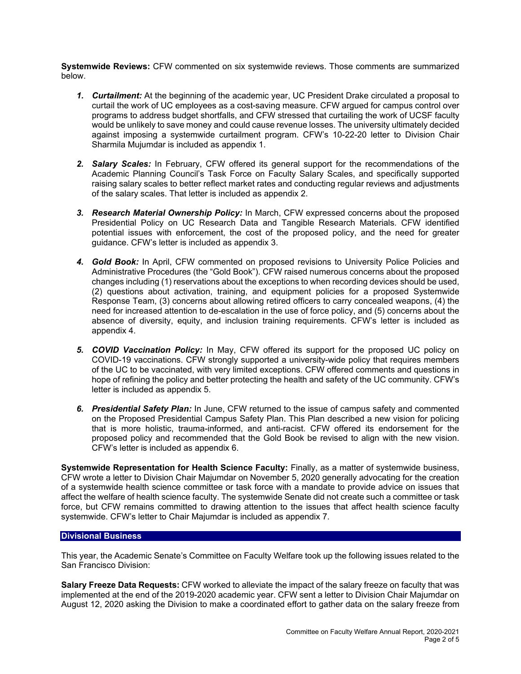**Systemwide Reviews:** CFW commented on six systemwide reviews. Those comments are summarized below.

- *1. Curtailment:* At the beginning of the academic year, UC President Drake circulated a proposal to curtail the work of UC employees as a cost-saving measure. CFW argued for campus control over programs to address budget shortfalls, and CFW stressed that curtailing the work of UCSF faculty would be unlikely to save money and could cause revenue losses. The university ultimately decided against imposing a systemwide curtailment program. CFW's 10-22-20 letter to Division Chair Sharmila Mujumdar is included a[s appendix](https://senate.ucsf.edu/sites/default/files/2021-11/01-2020-10-22-CFW-Letter-to-S-Majumdar-re-Curtailment.pdf) 1.
- *2. Salary Scales:* In February, CFW offered its general support for the recommendations of the Academic Planning Council's Task Force on Faculty Salary Scales, and specifically supported raising salary scales to better reflect market rates and conducting regular reviews and adjustments of the salary scales. That letter is included as [appendix](https://senate.ucsf.edu/sites/default/files/2021-11/02-2021-02-11-CFW-Letter-to-S-Majumdar-re-Salary-Scales-Task-Force-Report_JH.pdf) 2.
- *3. Research Material Ownership Policy:* In March, CFW expressed concerns about the proposed Presidential Policy on UC Research Data and Tangible Research Materials. CFW identified potential issues with enforcement, the cost of the proposed policy, and the need for greater guidance. CFW's letter is included as [appendix](https://senate.ucsf.edu/sites/default/files/2021-11/03-2021-03-16-CFW-Comments-on-Research-Material-Ownership-Policy.pdf) 3.
- *4. Gold Book:* In April, CFW commented on proposed revisions to University Police Policies and Administrative Procedures (the "Gold Book"). CFW raised numerous concerns about the proposed changes including (1) reservations about the exceptions to when recording devices should be used, (2) questions about activation, training, and equipment policies for a proposed Systemwide Response Team, (3) concerns about allowing retired officers to carry concealed weapons, (4) the need for increased attention to de-escalation in the use of force policy, and (5) concerns about the absence of diversity, equity, and inclusion training requirements. CFW's letter is included as [appendix](https://senate.ucsf.edu/sites/default/files/2021-11/04-2021-04-14-CFW-Letter-to-S-Majumdar-re-Gold-Book-Systemwide-Review.pdf) 4.
- *5. COVID Vaccination Policy:* In May, CFW offered its support for the proposed UC policy on COVID-19 vaccinations. CFW strongly supported a university-wide policy that requires members of the UC to be vaccinated, with very limited exceptions. CFW offered comments and questions in hope of refining the policy and better protecting the health and safety of the UC community. CFW's letter is included as [appendix](https://senate.ucsf.edu/sites/default/files/2021-11/05-2021-05-14-CFW-Letter-to-S-Majumdar-re-COVID-Vaccination-Policy.pdf) 5.
- *6. Presidential Safety Plan:* In June, CFW returned to the issue of campus safety and commented on the Proposed Presidential Campus Safety Plan. This Plan described a new vision for policing that is more holistic, trauma-informed, and anti-racist. CFW offered its endorsement for the proposed policy and recommended that the Gold Book be revised to align with the new vision. CFW's letter is included as [appendix](https://senate.ucsf.edu/sites/default/files/2021-11/06-2021-06-16-CFW-Ltr-to-S-Majumdar-re-Presidential-Safety-Plan.pdf) 6.

**Systemwide Representation for Health Science Faculty:** Finally, as a matter of systemwide business, CFW wrote a letter to Division Chair Majumdar on November 5, 2020 generally advocating for the creation of a systemwide health science committee or task force with a mandate to provide advice on issues that affect the welfare of health science faculty. The systemwide Senate did not create such a committee or task force, but CFW remains committed to drawing attention to the issues that affect health science faculty systemwide. CFW's letter to Chair Majumdar is included a[s appendix](https://senate.ucsf.edu/sites/default/files/2021-11/07-2020-11-05-CFW-Letter-to-S-Majumdar-re-Increasing-Systemwide-HS-Representation.pdf) 7.

## **Divisional Business**

This year, the Academic Senate's Committee on Faculty Welfare took up the following issues related to the San Francisco Division:

**Salary Freeze Data Requests:** CFW worked to alleviate the impact of the salary freeze on faculty that was implemented at the end of the 2019-2020 academic year. CFW sent a letter to Division Chair Majumdar on August 12, 2020 asking the Division to make a coordinated effort to gather data on the salary freeze from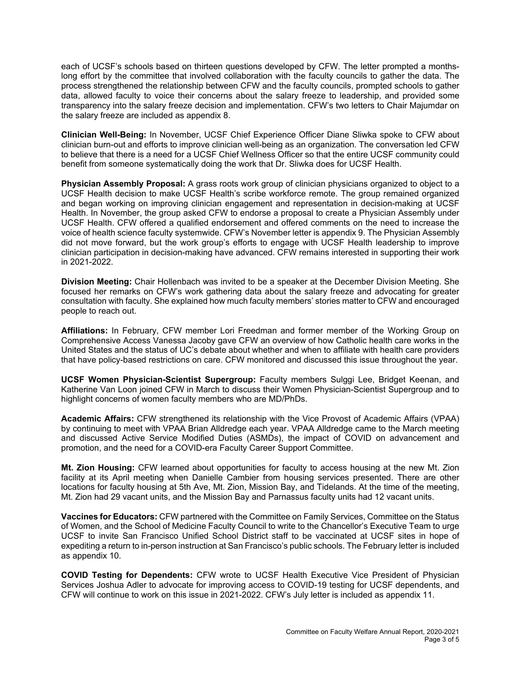each of UCSF's schools based on thirteen questions developed by CFW. The letter prompted a monthslong effort by the committee that involved collaboration with the faculty councils to gather the data. The process strengthened the relationship between CFW and the faculty councils, prompted schools to gather data, allowed faculty to voice their concerns about the salary freeze to leadership, and provided some transparency into the salary freeze decision and implementation. CFW's two letters to Chair Majumdar on the salary freeze are included as [appendix](https://senate.ucsf.edu/sites/default/files/2021-11/08-CFW-Letters-to-S-Majumdar-re-Salary-Freeze.pdf) 8.

**Clinician Well-Being:** In November, UCSF Chief Experience Officer Diane Sliwka spoke to CFW about clinician burn-out and efforts to improve clinician well-being as an organization. The conversation led CFW to believe that there is a need for a UCSF Chief Wellness Officer so that the entire UCSF community could benefit from someone systematically doing the work that Dr. Sliwka does for UCSF Health.

**Physician Assembly Proposal:** A grass roots work group of clinician physicians organized to object to a UCSF Health decision to make UCSF Health's scribe workforce remote. The group remained organized and began working on improving clinician engagement and representation in decision-making at UCSF Health. In November, the group asked CFW to endorse a proposal to create a Physician Assembly under UCSF Health. CFW offered a qualified endorsement and offered comments on the need to increase the voice of health science faculty systemwide. CFW's November letter i[s appendix](https://senate.ucsf.edu/sites/default/files/2021-11/09-2020-11-30-CFW-Qualified-Endorsement-of-Physician-Assembly.pdf) 9. The Physician Assembly did not move forward, but the work group's efforts to engage with UCSF Health leadership to improve clinician participation in decision-making have advanced. CFW remains interested in supporting their work in 2021-2022.

**Division Meeting:** Chair Hollenbach was invited to be a speaker at the December Division Meeting. She focused her remarks on CFW's work gathering data about the salary freeze and advocating for greater consultation with faculty. She explained how much faculty members' stories matter to CFW and encouraged people to reach out.

**Affiliations:** In February, CFW member Lori Freedman and former member of the Working Group on Comprehensive Access Vanessa Jacoby gave CFW an overview of how Catholic health care works in the United States and the status of UC's debate about whether and when to affiliate with health care providers that have policy-based restrictions on care. CFW monitored and discussed this issue throughout the year.

**UCSF Women Physician-Scientist Supergroup:** Faculty members Sulggi Lee, Bridget Keenan, and Katherine Van Loon joined CFW in March to discuss their Women Physician-Scientist Supergroup and to highlight concerns of women faculty members who are MD/PhDs.

**Academic Affairs:** CFW strengthened its relationship with the Vice Provost of Academic Affairs (VPAA) by continuing to meet with VPAA Brian Alldredge each year. VPAA Alldredge came to the March meeting and discussed Active Service Modified Duties (ASMDs), the impact of COVID on advancement and promotion, and the need for a COVID-era Faculty Career Support Committee.

**Mt. Zion Housing:** CFW learned about opportunities for faculty to access housing at the new Mt. Zion facility at its April meeting when Danielle Cambier from housing services presented. There are other locations for faculty housing at 5th Ave, Mt. Zion, Mission Bay, and Tidelands. At the time of the meeting, Mt. Zion had 29 vacant units, and the Mission Bay and Parnassus faculty units had 12 vacant units.

**Vaccines for Educators:** CFW partnered with the Committee on Family Services, Committee on the Status of Women, and the School of Medicine Faculty Council to write to the Chancellor's Executive Team to urge UCSF to invite San Francisco Unified School District staff to be vaccinated at UCSF sites in hope of expediting a return to in-person instruction at San Francisco's public schools. The February letter is included as [appendix](https://senate.ucsf.edu/sites/default/files/2021-11/10-2021-02-25-letter-on-vaccines-for-educators-from-four-faculty-committees.pdf) 10.

**COVID Testing for Dependents:** CFW wrote to UCSF Health Executive Vice President of Physician Services Joshua Adler to advocate for improving access to COVID-19 testing for UCSF dependents, and CFW will continue to work on this issue in 2021-2022. CFW's July letter is included a[s appendix](https://senate.ucsf.edu/sites/default/files/2021-11/11-2021-07-29%20CFW-Letter-to-J-Adler-re-COVID-Testing-for-Dependents.pdf) 11.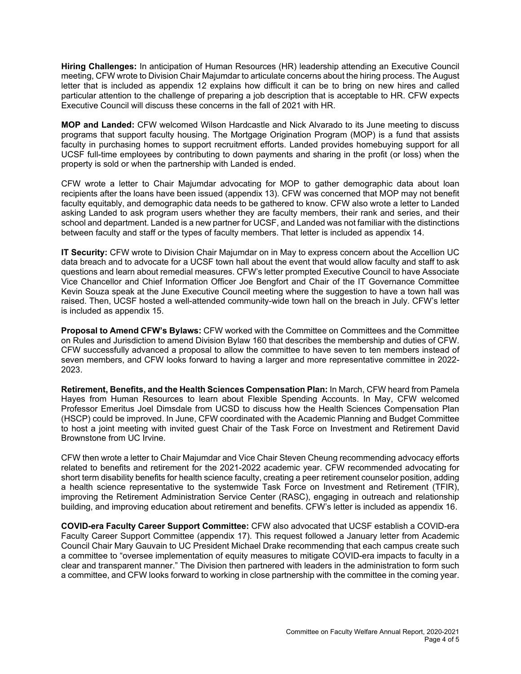**Hiring Challenges:** In anticipation of Human Resources (HR) leadership attending an Executive Council meeting, CFW wrote to Division Chair Majumdar to articulate concerns about the hiring process. The August letter that is included as [appendix](https://senate.ucsf.edu/sites/default/files/2021-11/12-2021-08-04-CFW-Letter-to-S-Majumdar-re-Hiring-Challenges.pdf) 12 explains how difficult it can be to bring on new hires and called particular attention to the challenge of preparing a job description that is acceptable to HR. CFW expects Executive Council will discuss these concerns in the fall of 2021 with HR.

**MOP and Landed:** CFW welcomed Wilson Hardcastle and Nick Alvarado to its June meeting to discuss programs that support faculty housing. The Mortgage Origination Program (MOP) is a fund that assists faculty in purchasing homes to support recruitment efforts. Landed provides homebuying support for all UCSF full-time employees by contributing to down payments and sharing in the profit (or loss) when the property is sold or when the partnership with Landed is ended.

CFW wrote a letter to Chair Majumdar advocating for MOP to gather demographic data about loan recipients after the loans have been issued [\(appendix](https://senate.ucsf.edu/sites/default/files/2021-11/13-2021-07-14-CFW-Ltr-to-S-Majumdar-re-MOP-Demographic-Data.pdf) 13). CFW was concerned that MOP may not benefit faculty equitably, and demographic data needs to be gathered to know. CFW also wrote a letter to Landed asking Landed to ask program users whether they are faculty members, their rank and series, and their school and department. Landed is a new partner for UCSF, and Landed was not familiar with the distinctions between faculty and staff or the types of faculty members. That letter is included a[s appendix](https://senate.ucsf.edu/sites/default/files/2021-11/14-2021-07-14-CFW-Letter-to-N-Alvarado-re-Landed-Faculty-Data.pdf) 14.

**IT Security:** CFW wrote to Division Chair Majumdar on in May to express concern about the Accellion UC data breach and to advocate for a UCSF town hall about the event that would allow faculty and staff to ask questions and learn about remedial measures. CFW's letter prompted Executive Council to have Associate Vice Chancellor and Chief Information Officer Joe Bengfort and Chair of the IT Governance Committee Kevin Souza speak at the June Executive Council meeting where the suggestion to have a town hall was raised. Then, UCSF hosted a well-attended community-wide town hall on the breach in July. CFW's letter is included as [appendix](https://senate.ucsf.edu/sites/default/files/2021-11/15-2021-05-21-CFW-Letter-to-S-Majumdar-re-IT-Security.pdf) 15.

**Proposal to Amend CFW's Bylaws:** CFW worked with the Committee on Committees and the Committee on Rules and Jurisdiction to amend Division Bylaw 160 that describes the membership and duties of CFW. CFW successfully advanced a proposal to allow the committee to have seven to ten members instead of seven members, and CFW looks forward to having a larger and more representative committee in 2022- 2023.

**Retirement, Benefits, and the Health Sciences Compensation Plan:** In March, CFW heard from Pamela Hayes from Human Resources to learn about Flexible Spending Accounts. In May, CFW welcomed Professor Emeritus Joel Dimsdale from UCSD to discuss how the Health Sciences Compensation Plan (HSCP) could be improved. In June, CFW coordinated with the Academic Planning and Budget Committee to host a joint meeting with invited guest Chair of the Task Force on Investment and Retirement David Brownstone from UC Irvine.

CFW then wrote a letter to Chair Majumdar and Vice Chair Steven Cheung recommending advocacy efforts related to benefits and retirement for the 2021-2022 academic year. CFW recommended advocating for short term disability benefits for health science faculty, creating a peer retirement counselor position, adding a health science representative to the systemwide Task Force on Investment and Retirement (TFIR), improving the Retirement Administration Service Center (RASC), engaging in outreach and relationship building, and improving education about retirement and benefits. CFW's letter is included as [appendix](https://senate.ucsf.edu/sites/default/files/2021-11/16-2021-06-09-CFW-Letter-to-S-Majumdar-re-HSCP.pdf) 16.

**COVID-era Faculty Career Support Committee:** CFW also advocated that UCSF establish a COVID-era Faculty Career Support Committee [\(appendix](https://senate.ucsf.edu/sites/default/files/2021-11/17-2021-04-14-CFW-Letter-to-S-Majumdar-re-UCFW-Recommendations-for-Campus-COVID-Committees.pdf) 17). This request followed a January letter from Academic Council Chair Mary Gauvain to UC President Michael Drake recommending that each campus create such a committee to "oversee implementation of equity measures to mitigate COVID-era impacts to faculty in a clear and transparent manner." The Division then partnered with leaders in the administration to form such a committee, and CFW looks forward to working in close partnership with the committee in the coming year.